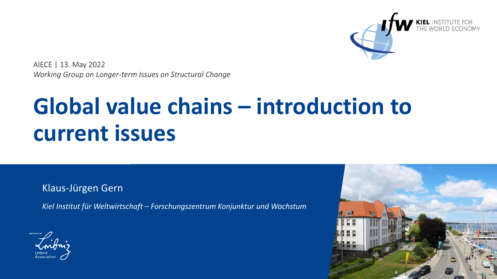

AIECE | 13. May 2022 *Working Group on Longer-term Issues on Structural Change*

# **Global value chains – introduction to current issues**

Klaus-Jürgen Gern

*Kiel Institut für Weltwirtschaft – Forschungszentrum Konjunktur und Wachstum*



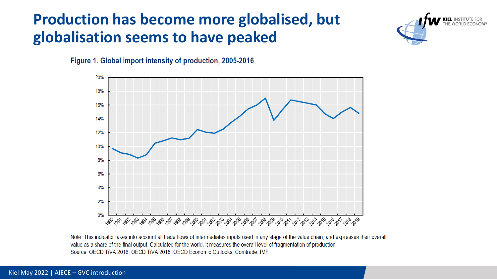## **Production has become more globalised, but globalisation seems to have peaked**







Note: This indicator takes into account all trade flows of intermediates inputs used in any stage of the value chain, and expresses their overall value as a share of the final output. Calculated for the world, it measures the overall level of fragmentation of production Source: OECD TiVA 2016, OECD TiVA 2018, OECD Economic Outlooks, Comtrade, IMF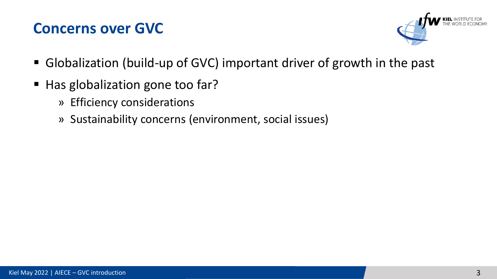### **Concerns over GVC**



- Globalization (build-up of GVC) important driver of growth in the past
- Has globalization gone too far?
	- » Efficiency considerations
	- » Sustainability concerns (environment, social issues)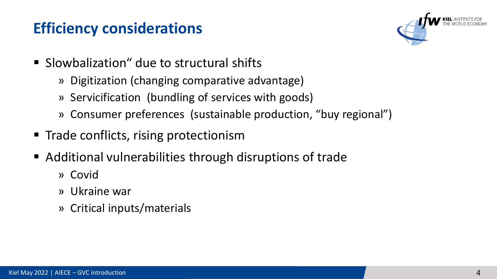## **Efficiency considerations**



- Slowbalization" due to structural shifts
	- » Digitization (changing comparative advantage)
	- » Servicification (bundling of services with goods)
	- » Consumer preferences (sustainable production, "buy regional")
- Trade conflicts, rising protectionism
- Additional vulnerabilities through disruptions of trade
	- » Covid
	- » Ukraine war
	- » Critical inputs/materials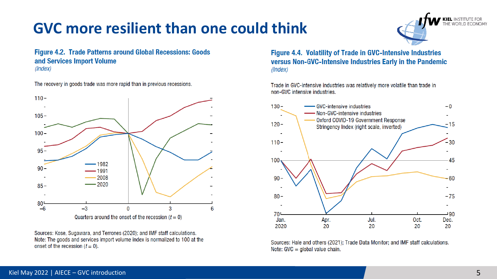## **GVC more resilient than one could think**



**Figure 4.2. Trade Patterns around Global Recessions: Goods** and Services Import Volume  $(Index)$ 

The recovery in goods trade was more rapid than in previous recessions.



Sources: Kose, Sugawara, and Terrones (2020); and IMF staff calculations. Note: The goods and services import volume index is normalized to 100 at the onset of the recession  $(t = 0)$ .

Figure 4.4. Volatility of Trade in GVC-Intensive Industries versus Non-GVC-Intensive Industries Early in the Pandemic  $(Index)$ 

Trade in GVC-intensive industries was relatively more volatile than trade in non-GVC intensive industries.



Sources: Hale and others (2021); Trade Data Monitor; and IMF staff calculations. Note: GVC = global value chain.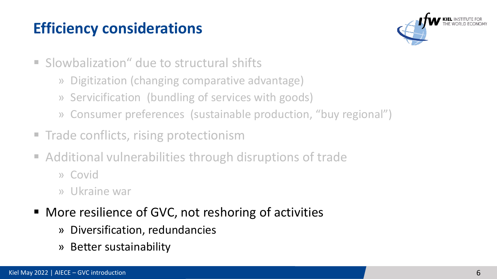# **Efficiency considerations**



- Slowbalization" due to structural shifts
	- » Digitization (changing comparative advantage)
	- » Servicification (bundling of services with goods)
	- » Consumer preferences (sustainable production, "buy regional")
- Trade conflicts, rising protectionism
- Additional vulnerabilities through disruptions of trade
	- » Covid
	- » Ukraine war
- More resilience of GVC, not reshoring of activities
	- » Diversification, redundancies
	- » Better sustainability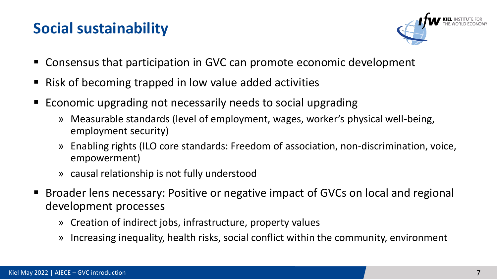## **Social sustainability**



- Consensus that participation in GVC can promote economic development
- Risk of becoming trapped in low value added activities
- Economic upgrading not necessarily needs to social upgrading
	- » Measurable standards (level of employment, wages, worker's physical well-being, employment security)
	- » Enabling rights (ILO core standards: Freedom of association, non-discrimination, voice, empowerment)
	- » causal relationship is not fully understood
- Broader lens necessary: Positive or negative impact of GVCs on local and regional development processes
	- » Creation of indirect jobs, infrastructure, property values
	- » Increasing inequality, health risks, social conflict within the community, environment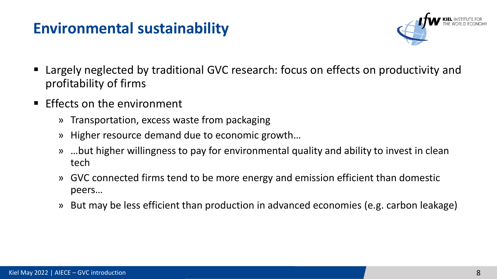### **Environmental sustainability**



- Largely neglected by traditional GVC research: focus on effects on productivity and profitability of firms
- $\blacksquare$  Effects on the environment
	- » Transportation, excess waste from packaging
	- » Higher resource demand due to economic growth…
	- » …but higher willingness to pay for environmental quality and ability to invest in clean tech
	- » GVC connected firms tend to be more energy and emission efficient than domestic peers…
	- » But may be less efficient than production in advanced economies (e.g. carbon leakage)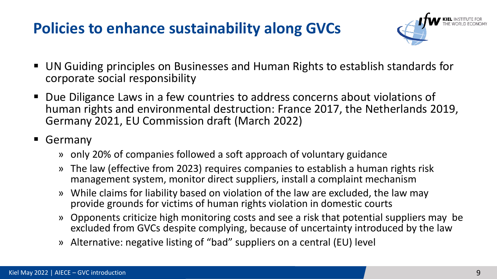## **Policies to enhance sustainability along GVCs**



- UN Guiding principles on Businesses and Human Rights to establish standards for corporate social responsibility
- Due Diligance Laws in a few countries to address concerns about violations of human rights and environmental destruction: France 2017, the Netherlands 2019, Germany 2021, EU Commission draft (March 2022)
- Germany
	- » only 20% of companies followed a soft approach of voluntary guidance
	- » The law (effective from 2023) requires companies to establish a human rights risk management system, monitor direct suppliers, install a complaint mechanism
	- » While claims for liability based on violation of the law are excluded, the law may provide grounds for victims of human rights violation in domestic courts
	- » Opponents criticize high monitoring costs and see a risk that potential suppliers may be excluded from GVCs despite complying, because of uncertainty introduced by the law
	- » Alternative: negative listing of "bad" suppliers on a central (EU) level